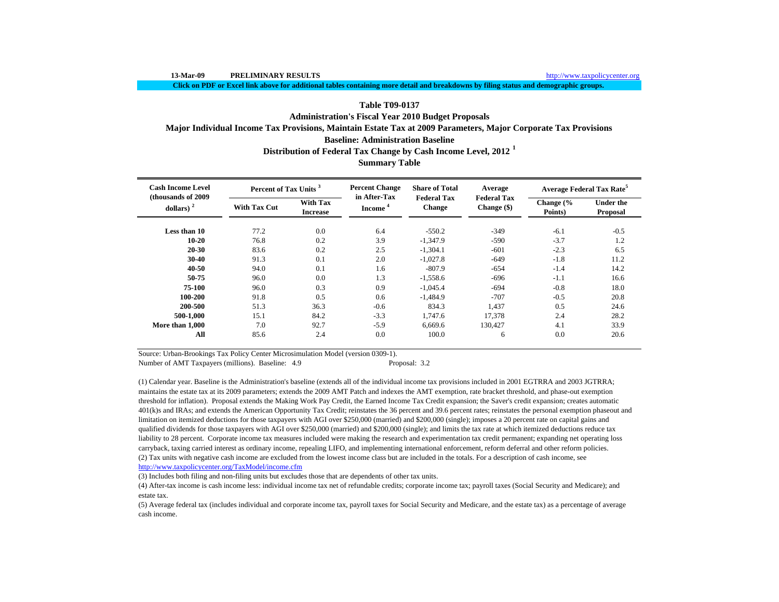**Click on PDF or Excel link above for additional tables containing more detail and breakdowns by filing status and demographic groups.**

# **Table T09-0137**

**Administration's Fiscal Year 2010 Budget Proposals**

**Major Individual Income Tax Provisions, Maintain Estate Tax at 2009 Parameters, Major Corporate Tax Provisions**

**Baseline: Administration Baseline**

**Distribution of Federal Tax Change by Cash Income Level, 2012 <sup>1</sup>**

## **Summary Table**

| <b>Cash Income Level</b>            | Percent of Tax Units <sup>3</sup> |                                    | <b>Percent Change</b>               | <b>Share of Total</b>               | Average                           | <b>Average Federal Tax Rate<sup>5</sup></b> |                              |  |
|-------------------------------------|-----------------------------------|------------------------------------|-------------------------------------|-------------------------------------|-----------------------------------|---------------------------------------------|------------------------------|--|
| (thousands of 2009)<br>dollars) $2$ | <b>With Tax Cut</b>               | <b>With Tax</b><br><b>Increase</b> | in After-Tax<br>Income <sup>4</sup> | <b>Federal Tax</b><br><b>Change</b> | <b>Federal Tax</b><br>Change (\$) | Change $\frac{6}{6}$<br>Points)             | <b>Under the</b><br>Proposal |  |
| Less than 10                        | 77.2                              | 0.0                                | 6.4                                 | $-550.2$                            | $-349$                            | $-6.1$                                      | $-0.5$                       |  |
| $10 - 20$                           | 76.8                              | 0.2                                | 3.9                                 | $-1,347.9$                          | $-590$                            | $-3.7$                                      | 1.2                          |  |
| $20 - 30$                           | 83.6                              | 0.2                                | 2.5                                 | $-1.304.1$                          | $-601$                            | $-2.3$                                      | 6.5                          |  |
| $30 - 40$                           | 91.3                              | 0.1                                | 2.0                                 | $-1.027.8$                          | $-649$                            | $-1.8$                                      | 11.2                         |  |
| 40-50                               | 94.0                              | 0.1                                | 1.6                                 | $-807.9$                            | $-654$                            | $-1.4$                                      | 14.2                         |  |
| 50-75                               | 96.0                              | 0.0                                | 1.3                                 | $-1,558.6$                          | $-696$                            | $-1.1$                                      | 16.6                         |  |
| 75-100                              | 96.0                              | 0.3                                | 0.9                                 | $-1,045.4$                          | $-694$                            | $-0.8$                                      | 18.0                         |  |
| 100-200                             | 91.8                              | 0.5                                | 0.6                                 | $-1,484.9$                          | $-707$                            | $-0.5$                                      | 20.8                         |  |
| 200-500                             | 51.3                              | 36.3                               | $-0.6$                              | 834.3                               | 1,437                             | 0.5                                         | 24.6                         |  |
| 500-1.000                           | 15.1                              | 84.2                               | $-3.3$                              | 1.747.6                             | 17,378                            | 2.4                                         | 28.2                         |  |
| More than 1.000                     | 7.0                               | 92.7                               | $-5.9$                              | 6.669.6                             | 130.427                           | 4.1                                         | 33.9                         |  |
| All                                 | 85.6                              | 2.4                                | 0.0                                 | 100.0                               | 6                                 | 0.0                                         | 20.6                         |  |

Source: Urban-Brookings Tax Policy Center Microsimulation Model (version 0309-1).

Number of AMT Taxpayers (millions). Baseline: 4.9 Proposal: 3.2

(2) Tax units with negative cash income are excluded from the lowest income class but are included in the totals. For a description of cash income, see http://www.taxpolicycenter.org/TaxModel/income.cfm (1) Calendar year. Baseline is the Administration's baseline (extends all of the individual income tax provisions included in 2001 EGTRRA and 2003 JGTRRA; maintains the estate tax at its 2009 parameters; extends the 2009 AMT Patch and indexes the AMT exemption, rate bracket threshold, and phase-out exemption threshold for inflation). Proposal extends the Making Work Pay Credit, the Earned Income Tax Credit expansion; the Saver's credit expansion; creates automatic 401(k)s and IRAs; and extends the American Opportunity Tax Credit; reinstates the 36 percent and 39.6 percent rates; reinstates the personal exemption phaseout and limitation on itemized deductions for those taxpayers with AGI over \$250,000 (married) and \$200,000 (single); imposes a 20 percent rate on capital gains and qualified dividends for those taxpayers with AGI over \$250,000 (married) and \$200,000 (single); and limits the tax rate at which itemized deductions reduce tax liability to 28 percent. Corporate income tax measures included were making the research and experimentation tax credit permanent; expanding net operating loss carryback, taxing carried interest as ordinary income, repealing LIFO, and implementing international enforcement, reform deferral and other reform policies.

(3) Includes both filing and non-filing units but excludes those that are dependents of other tax units.

(4) After-tax income is cash income less: individual income tax net of refundable credits; corporate income tax; payroll taxes (Social Security and Medicare); and estate tax.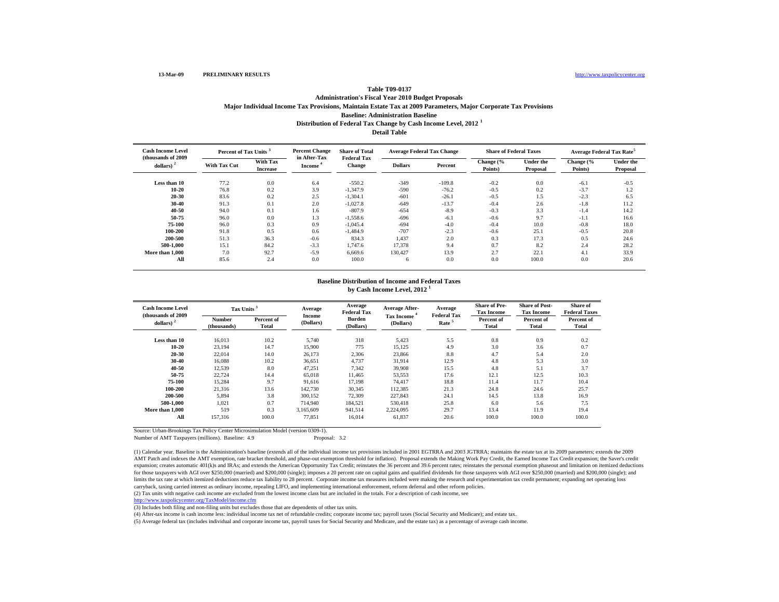### **Detail TableBaseline: Administration BaselineDistribution of Federal Tax Change by Cash Income Level, 2012 <sup>1</sup> Administration's Fiscal Year 2010 Budget Proposals Major Individual Income Tax Provisions, Maintain Estate Tax at 2009 Parameters, Major Corporate Tax Provisions**

| <b>Cash Income Level</b><br>(thousands of 2009) |                     | Percent of Tax Units <sup>3</sup> |                                     | <b>Share of Total</b>               | <b>Average Federal Tax Change</b> |          | <b>Share of Federal Taxes</b> |                              | Average Federal Tax Rate <sup>5</sup> |                              |
|-------------------------------------------------|---------------------|-----------------------------------|-------------------------------------|-------------------------------------|-----------------------------------|----------|-------------------------------|------------------------------|---------------------------------------|------------------------------|
| dollars) $2$                                    | <b>With Tax Cut</b> | With Tax<br><b>Increase</b>       | in After-Tax<br>Income <sup>*</sup> | <b>Federal Tax</b><br><b>Change</b> | <b>Dollars</b>                    | Percent  | Change (%<br>Points)          | <b>Under the</b><br>Proposal | Change (%<br>Points)                  | <b>Under the</b><br>Proposal |
| Less than 10                                    | 77.2                | 0.0                               | 6.4                                 | $-550.2$                            | $-349$                            | $-109.8$ | $-0.2$                        | 0.0                          | $-6.1$                                | $-0.5$                       |
| $10 - 20$                                       | 76.8                | 0.2                               | 3.9                                 | $-1.347.9$                          | $-590$                            | $-76.2$  | $-0.5$                        | 0.2                          | $-3.7$                                | 1.2                          |
| $20 - 30$                                       | 83.6                | 0.2                               | 2.5                                 | $-1,304.1$                          | $-601$                            | $-26.1$  | $-0.5$                        | 1.5                          | $-2.3$                                | 6.5                          |
| 30-40                                           | 91.3                | 0.1                               | 2.0                                 | $-1,027.8$                          | $-649$                            | $-13.7$  | $-0.4$                        | 2.6                          | $-1.8$                                | 11.2                         |
| $40 - 50$                                       | 94.0                | 0.1                               | 1.6                                 | $-807.9$                            | $-654$                            | $-8.9$   | $-0.3$                        | 3.3                          | $-1.4$                                | 14.2                         |
| 50-75                                           | 96.0                | 0.0                               | 1.3                                 | $-1.558.6$                          | $-696$                            | $-6.1$   | $-0.6$                        | 9.7                          | $-1.1$                                | 16.6                         |
| 75-100                                          | 96.0                | 0.3                               | 0.9                                 | $-1,045.4$                          | $-694$                            | $-4.0$   | $-0.4$                        | 10.0                         | $-0.8$                                | 18.0                         |
| 100-200                                         | 91.8                | 0.5                               | 0.6                                 | $-1.484.9$                          | $-707$                            | $-2.3$   | $-0.6$                        | 25.1                         | $-0.5$                                | 20.8                         |
| 200-500                                         | 51.3                | 36.3                              | $-0.6$                              | 834.3                               | 1,437                             | 2.0      | 0.3                           | 17.3                         | 0.5                                   | 24.6                         |
| 500-1.000                                       | 15.1                | 84.2                              | $-3.3$                              | 1.747.6                             | 17.378                            | 9.4      | 0.7                           | 8.2                          | 2.4                                   | 28.2                         |
| More than 1,000                                 | 7.0                 | 92.7                              | $-5.9$                              | 6,669.6                             | 130,427                           | 13.9     | 2.7                           | 22.1                         | 4.1                                   | 33.9                         |
| All                                             | 85.6                | 2.4                               | 0.0                                 | 100.0                               | 6                                 | 0.0      | 0.0                           | 100.0                        | 0.0                                   | 20.6                         |

#### **by Cash Income Level, 2012 <sup>1</sup> Baseline Distribution of Income and Federal Taxes**

| <b>Cash Income Level</b><br>(thousands of 2009) | Tax Units <sup>3</sup> |                            | Average             | Average<br><b>Federal Tax</b> | Average After-          | Average<br><b>Federal Tax</b> | <b>Share of Pre-</b><br><b>Tax Income</b> | <b>Share of Post-</b><br><b>Tax Income</b> | <b>Share of</b><br><b>Federal Taxes</b> |
|-------------------------------------------------|------------------------|----------------------------|---------------------|-------------------------------|-------------------------|-------------------------------|-------------------------------------------|--------------------------------------------|-----------------------------------------|
| dollars) $2$                                    | Number<br>(thousands)  | Percent of<br><b>Total</b> | Income<br>(Dollars) | <b>Burden</b><br>(Dollars)    | Tax Income<br>(Dollars) | Rate <sup>5</sup>             | Percent of<br><b>Total</b>                | Percent of<br><b>Total</b>                 | Percent of<br>Total                     |
| Less than 10                                    | 16.013                 | 10.2                       | 5.740               | 318                           | 5,423                   | 5.5                           | 0.8                                       | 0.9                                        | 0.2                                     |
| 10-20                                           | 23.194                 | 14.7                       | 15,900              | 775                           | 15.125                  | 4.9                           | 3.0                                       | 3.6                                        | 0.7                                     |
| $20 - 30$                                       | 22.014                 | 14.0                       | 26,173              | 2,306                         | 23,866                  | 8.8                           | 4.7                                       | 5.4                                        | 2.0                                     |
| $30 - 40$                                       | 16.088                 | 10.2                       | 36,651              | 4,737                         | 31,914                  | 12.9                          | 4.8                                       | 5.3                                        | 3.0                                     |
| 40-50                                           | 12,539                 | 8.0                        | 47,251              | 7,342                         | 39,908                  | 15.5                          | 4.8                                       | 5.1                                        | 3.7                                     |
| 50-75                                           | 22,724                 | 14.4                       | 65,018              | 11,465                        | 53,553                  | 17.6                          | 12.1                                      | 12.5                                       | 10.3                                    |
| 75-100                                          | 15,284                 | 9.7                        | 91.616              | 17,198                        | 74,417                  | 18.8                          | 11.4                                      | 11.7                                       | 10.4                                    |
| 100-200                                         | 21,316                 | 13.6                       | 142,730             | 30,345                        | 112,385                 | 21.3                          | 24.8                                      | 24.6                                       | 25.7                                    |
| 200-500                                         | 5.894                  | 3.8                        | 300.152             | 72,309                        | 227,843                 | 24.1                          | 14.5                                      | 13.8                                       | 16.9                                    |
| 500-1.000                                       | 1.021                  | 0.7                        | 714,940             | 184.521                       | 530,418                 | 25.8                          | 6.0                                       | 5.6                                        | 7.5                                     |
| More than 1,000                                 | 519                    | 0.3                        | 3.165.609           | 941.514                       | 2.224,095               | 29.7                          | 13.4                                      | 11.9                                       | 19.4                                    |
| All                                             | 157,316                | 100.0                      | 77,851              | 16,014                        | 61,837                  | 20.6                          | 100.0                                     | 100.0                                      | 100.0                                   |

Source: Urban-Brookings Tax Policy Center Microsimulation Model (version 0309-1).

Number of AMT Taxpayers (millions). Baseline: 4.9

(1) Calendar year. Baseline is the Administration's baseline (extends all of the individual income tax provisions included in 2001 EGTRRA and 2003 JGTRRA; maintains the estate tax at its 2009 parameters; extends the 2009 AMT Patch and indexes the AMT exemption, rate bracket threshold, and phase-out exemption threshold for inflation). Proposal extends the Making Work Pay Credit, the Earned Income Tax Credit expansion; the Saver's credit expansion; creates automatic 401(k)s and IRAs; and extends the American Opportunity Tax Credit; reinstates the 36 percent and 39.6 percent rates; reinstates the personal exemption phaseout and limitation on itemized deduct for those taxpayers with AGI over \$250,000 (married) and \$200,000 (single); imposes a 20 percent rate on capital gains and qualified dividends for those taxpayers with AGI over \$250,000 (married) and \$200,000 (single); and limits the tax rate at which itemized deductions reduce tax liability to 28 percent. Corporate income tax measures included were making the research and experimentation tax credit permanent; expanding net operating loss carryback, taxing carried interest as ordinary income, repealing LIFO, and implementing international enforcement, reform deferral and other reform policies.

(2) Tax units with negative cash income are excluded from the lowest income class but are included in the totals. For a description of cash income, see

http://www.taxpolicycenter.org/TaxModel/income.cfm

(3) Includes both filing and non-filing units but excludes those that are dependents of other tax units.

(4) After-tax income is cash income less: individual income tax net of refundable credits; corporate income tax; payroll taxes (Social Security and Medicare); and estate tax.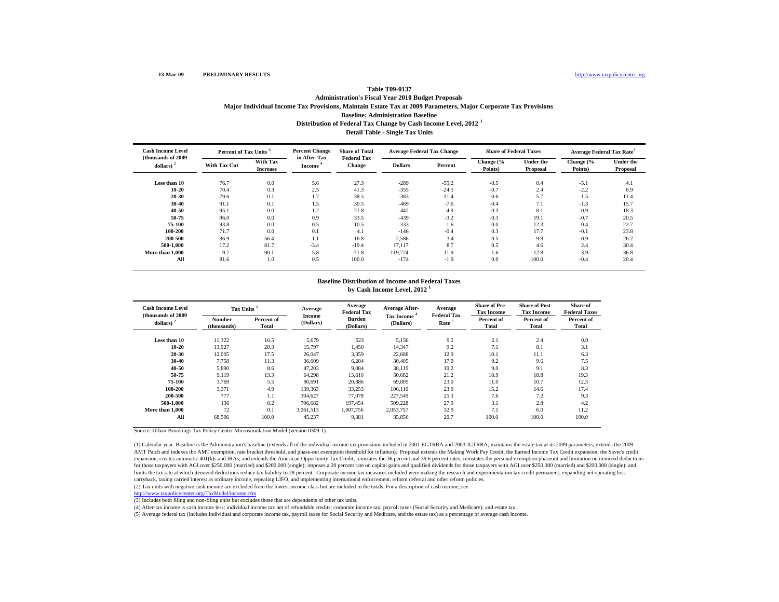**Detail Table - Single Tax Units Baseline: Administration BaselineDistribution of Federal Tax Change by Cash Income Level, 2012 <sup>1</sup> Administration's Fiscal Year 2010 Budget Proposals Major Individual Income Tax Provisions, Maintain Estate Tax at 2009 Parameters, Major Corporate Tax Provisions**

| <b>Cash Income Level</b><br>(thousands of 2009) | Percent of Tax Units <sup>3</sup> |                                    | <b>Percent Change</b>               | <b>Share of Total</b>               | <b>Average Federal Tax Change</b> |         | <b>Share of Federal Taxes</b> |                              | Average Federal Tax Rate <sup>5</sup> |                              |
|-------------------------------------------------|-----------------------------------|------------------------------------|-------------------------------------|-------------------------------------|-----------------------------------|---------|-------------------------------|------------------------------|---------------------------------------|------------------------------|
| dollars) $2$                                    | <b>With Tax Cut</b>               | <b>With Tax</b><br><b>Increase</b> | in After-Tax<br>Income <sup>*</sup> | <b>Federal Tax</b><br><b>Change</b> | <b>Dollars</b>                    | Percent | Change (%<br>Points)          | <b>Under the</b><br>Proposal | Change (%<br>Points)                  | <b>Under the</b><br>Proposal |
| Less than 10                                    | 76.7                              | 0.0                                | 5.6                                 | 27.3                                | $-289$                            | $-55.2$ | $-0.5$                        | 0.4                          | $-5.1$                                | 4.1                          |
| 10-20                                           | 70.4                              | 0.3                                | 2.5                                 | 41.3                                | $-355$                            | $-24.5$ | $-0.7$                        | 2.4                          | $-2.2$                                | 6.9                          |
| $20 - 30$                                       | 79.6                              | 0.1                                | 1.7                                 | 38.5                                | $-383$                            | $-11.4$ | $-0.6$                        | 5.7                          | $-1.5$                                | 11.4                         |
| $30 - 40$                                       | 91.1                              | 0.1                                | 1.5                                 | 30.5                                | $-469$                            | $-7.6$  | $-0.4$                        | 7.1                          | $-1.3$                                | 15.7                         |
| 40-50                                           | 95.1                              | 0.0                                | 1.2                                 | 21.8                                | $-442$                            | $-4.9$  | $-0.3$                        | 8.1                          | $-0.9$                                | 18.3                         |
| 50-75                                           | 96.0                              | 0.0                                | 0.9                                 | 33.5                                | $-439$                            | $-3.2$  | $-0.3$                        | 19.1                         | $-0.7$                                | 20.5                         |
| 75-100                                          | 93.8                              | 0.0                                | 0.5                                 | 10.5                                | $-333$                            | $-1.6$  | 0.0                           | 12.3                         | $-0.4$                                | 22.7                         |
| 100-200                                         | 71.7                              | 0.0                                | 0.1                                 | 4.1                                 | $-146$                            | $-0.4$  | 0.3                           | 17.7                         | $-0.1$                                | 23.8                         |
| 200-500                                         | 36.9                              | 56.4                               | $-1.1$                              | $-16.8$                             | 2,586                             | 3.4     | 0.5                           | 9.8                          | 0.9                                   | 26.2                         |
| 500-1.000                                       | 17.2                              | 81.7                               | $-3.4$                              | $-19.4$                             | 17.117                            | 8.7     | 0.5                           | 4.6                          | 2.4                                   | 30.4                         |
| More than 1.000                                 | 9.7                               | 90.1                               | $-5.8$                              | $-71.8$                             | 119,774                           | 11.9    | 1.6                           | 12.8                         | 3.9                                   | 36.8                         |
| All                                             | 81.6                              | 1.0                                | 0.5                                 | 100.0                               | $-174$                            | $-1.9$  | 0.0                           | 100.0                        | $-0.4$                                | 20.4                         |

#### **by Cash Income Level, 2012 <sup>1</sup> Baseline Distribution of Income and Federal Taxes**

| <b>Cash Income Level</b><br>(thousands of 2009) | Tax Units             |                            | Average<br>Income | Average<br><b>Federal Tax</b> | <b>Average After-</b>                | Average<br><b>Federal Tax</b> | <b>Share of Pre-</b><br><b>Tax Income</b> | <b>Share of Post-</b><br><b>Tax Income</b> | <b>Share of</b><br><b>Federal Taxes</b> |
|-------------------------------------------------|-----------------------|----------------------------|-------------------|-------------------------------|--------------------------------------|-------------------------------|-------------------------------------------|--------------------------------------------|-----------------------------------------|
| dollars) $2$                                    | Number<br>(thousands) | Percent of<br><b>Total</b> | (Dollars)         | <b>Burden</b><br>(Dollars)    | Tax Income <sup>4</sup><br>(Dollars) | Rate <sup>5</sup>             | Percent of<br><b>Total</b>                | Percent of<br>Total                        | Percent of<br><b>Total</b>              |
| Less than 10                                    | 11,322                | 16.5                       | 5,679             | 523                           | 5,156                                | 9.2                           | 2.1                                       | 2.4                                        | 0.9                                     |
| $10 - 20$                                       | 13.927                | 20.3                       | 15,797            | 1.450                         | 14,347                               | 9.2                           | 7.1                                       | 8.1                                        | 3.1                                     |
| $20 - 30$                                       | 12,005                | 17.5                       | 26,047            | 3,359                         | 22,688                               | 12.9                          | 10.1                                      | 11.1                                       | 6.3                                     |
| 30-40                                           | 7,758                 | 11.3                       | 36,609            | 6,204                         | 30,405                               | 17.0                          | 9.2                                       | 9.6                                        | 7.5                                     |
| 40-50                                           | 5,890                 | 8.6                        | 47,203            | 9,084                         | 38,119                               | 19.2                          | 9.0                                       | 9.1                                        | 8.3                                     |
| 50-75                                           | 9,119                 | 13.3                       | 64,298            | 13,616                        | 50,682                               | 21.2                          | 18.9                                      | 18.8                                       | 19.3                                    |
| 75-100                                          | 3,769                 | 5.5                        | 90.691            | 20,886                        | 69,805                               | 23.0                          | 11.0                                      | 10.7                                       | 12.3                                    |
| 100-200                                         | 3.371                 | 4.9                        | 139.363           | 33.253                        | 106.110                              | 23.9                          | 15.2                                      | 14.6                                       | 17.4                                    |
| 200-500                                         | 777                   | 1.1                        | 304.627           | 77,078                        | 227.549                              | 25.3                          | 7.6                                       | 7.2                                        | 9.3                                     |
| 500-1.000                                       | 136                   | 0.2                        | 706.682           | 197.454                       | 509.228                              | 27.9                          | 3.1                                       | 2.8                                        | 4.2                                     |
| More than 1,000                                 | 72                    | 0.1                        | 3,061,513         | 1.007.756                     | 2,053,757                            | 32.9                          | 7.1                                       | 6.0                                        | 11.2                                    |
| All                                             | 68,506                | 100.0                      | 45,237            | 9,381                         | 35,856                               | 20.7                          | 100.0                                     | 100.0                                      | 100.0                                   |

Source: Urban-Brookings Tax Policy Center Microsimulation Model (version 0309-1).

(1) Calendar year. Baseline is the Administration's baseline (extends all of the individual income tax provisions included in 2001 EGTRRA and 2003 JGTRRA; maintains the estate tax at its 2009 parameters; extends the 2009 AMT Patch and indexes the AMT exemption, rate bracket threshold, and phase-out exemption threshold for inflation). Proposal extends the Making Work Pay Credit, the Earned Income Tax Credit expansion; the Saver's credit expansion; creates automatic 401(k)s and IRAs; and extends the American Opportunity Tax Credit; reinstates the 36 percent and 39.6 percent rates; reinstates the personal exemption phaseout and limitation on itemized deduct for those taxpayers with AGI over \$250,000 (married) and \$200,000 (single); imposes a 20 percent rate on capital gains and qualified dividends for those taxpayers with AGI over \$250,000 (married) and \$200,000 (single); and limits the tax rate at which itemized deductions reduce tax liability to 28 percent. Corporate income tax measures included were making the research and experimentation tax credit permanent; expanding net operating loss carryback, taxing carried interest as ordinary income, repealing LIFO, and implementing international enforcement, reform deferral and other reform policies.

(2) Tax units with negative cash income are excluded from the lowest income class but are included in the totals. For a description of cash income, see

http://www.taxpolicycenter.org/TaxModel/income.cfm

(3) Includes both filing and non-filing units but excludes those that are dependents of other tax units.

(4) After-tax income is cash income less: individual income tax net of refundable credits; corporate income tax; payroll taxes (Social Security and Medicare); and estate tax.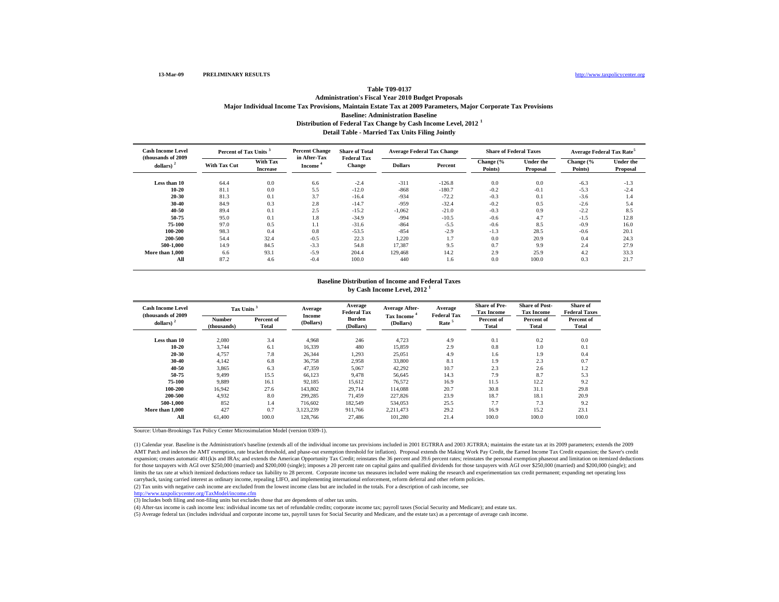**Detail Table - Married Tax Units Filing Jointly Baseline: Administration BaselineDistribution of Federal Tax Change by Cash Income Level, 2012 <sup>1</sup> Administration's Fiscal Year 2010 Budget Proposals Major Individual Income Tax Provisions, Maintain Estate Tax at 2009 Parameters, Major Corporate Tax Provisions**

| <b>Cash Income Level</b>            | Percent of Tax Units <sup>3</sup> |                                    | <b>Percent Change</b>               | <b>Share of Total</b>               |                | <b>Average Federal Tax Change</b> |                      | <b>Share of Federal Taxes</b> | <b>Average Federal Tax Rate<sup>5</sup></b> |                              |
|-------------------------------------|-----------------------------------|------------------------------------|-------------------------------------|-------------------------------------|----------------|-----------------------------------|----------------------|-------------------------------|---------------------------------------------|------------------------------|
| (thousands of 2009)<br>dollars) $2$ | <b>With Tax Cut</b>               | <b>With Tax</b><br><b>Increase</b> | in After-Tax<br>Income <sup>*</sup> | <b>Federal Tax</b><br><b>Change</b> | <b>Dollars</b> | Percent                           | Change (%<br>Points) | <b>Under the</b><br>Proposal  | Change (%<br>Points)                        | <b>Under the</b><br>Proposal |
| Less than 10                        | 64.4                              | 0.0                                | 6.6                                 | $-2.4$                              | $-311$         | $-126.8$                          | 0.0                  | 0.0                           | $-6.3$                                      | $-1.3$                       |
| 10-20                               | 81.1                              | 0.0                                | 5.5                                 | $-12.0$                             | $-868$         | $-180.7$                          | $-0.2$               | $-0.1$                        | $-5.3$                                      | $-2.4$                       |
| 20-30                               | 81.3                              | 0.1                                | 3.7                                 | $-16.4$                             | $-934$         | $-72.2$                           | $-0.3$               | 0.1                           | $-3.6$                                      | 1.4                          |
| 30-40                               | 84.9                              | 0.3                                | 2.8                                 | $-14.7$                             | $-959$         | $-32.4$                           | $-0.2$               | 0.5                           | $-2.6$                                      | 5.4                          |
| 40-50                               | 89.4                              | 0.1                                | 2.5                                 | $-15.2$                             | $-1,062$       | $-21.0$                           | $-0.3$               | 0.9                           | $-2.2$                                      | 8.5                          |
| 50-75                               | 95.0                              | 0.1                                | 1.8                                 | $-34.9$                             | $-994$         | $-10.5$                           | $-0.6$               | 4.7                           | $-1.5$                                      | 12.8                         |
| 75-100                              | 97.0                              | 0.5                                | 1.1                                 | $-31.6$                             | $-864$         | $-5.5$                            | $-0.6$               | 8.5                           | $-0.9$                                      | 16.0                         |
| 100-200                             | 98.3                              | 0.4                                | 0.8                                 | $-53.5$                             | $-854$         | $-2.9$                            | $-1.3$               | 28.5                          | $-0.6$                                      | 20.1                         |
| 200-500                             | 54.4                              | 32.4                               | $-0.5$                              | 22.3                                | 1,220          | 1.7                               | 0.0                  | 20.9                          | 0.4                                         | 24.3                         |
| 500-1.000                           | 14.9                              | 84.5                               | $-3.3$                              | 54.8                                | 17.387         | 9.5                               | 0.7                  | 9.9                           | 2.4                                         | 27.9                         |
| More than 1.000                     | 6.6                               | 93.1                               | $-5.9$                              | 204.4                               | 129.468        | 14.2                              | 2.9                  | 25.9                          | 4.2                                         | 33.3                         |
| All                                 | 87.2                              | 4.6                                | $-0.4$                              | 100.0                               | 440            | 1.6                               | 0.0                  | 100.0                         | 0.3                                         | 21.7                         |

#### **by Cash Income Level, 2012 <sup>1</sup> Baseline Distribution of Income and Federal Taxes**

| <b>Cash Income Level</b><br>(thousands of 2009) | Tax Units             |                     | Average             | Average<br>Federal Tax | <b>Average After-</b>                | Average<br><b>Federal Tax</b> | <b>Share of Pre-</b><br><b>Tax Income</b> | <b>Share of Post-</b><br><b>Tax Income</b> | Share of<br><b>Federal Taxes</b> |
|-------------------------------------------------|-----------------------|---------------------|---------------------|------------------------|--------------------------------------|-------------------------------|-------------------------------------------|--------------------------------------------|----------------------------------|
| dollars) $2$                                    | Number<br>(thousands) | Percent of<br>Total | Income<br>(Dollars) | Burden<br>(Dollars)    | Tax Income <sup>4</sup><br>(Dollars) | Rate <sup>5</sup>             | Percent of<br>Total                       | Percent of<br><b>Total</b>                 | Percent of<br>Total              |
| Less than 10                                    | 2,080                 | 3.4                 | 4.968               | 246                    | 4,723                                | 4.9                           | 0.1                                       | 0.2                                        | 0.0                              |
| $10 - 20$                                       | 3,744                 | 6.1                 | 16,339              | 480                    | 15,859                               | 2.9                           | 0.8                                       | 1.0                                        | 0.1                              |
| $20 - 30$                                       | 4,757                 | 7.8                 | 26,344              | 1,293                  | 25,051                               | 4.9                           | 1.6                                       | 1.9                                        | 0.4                              |
| 30-40                                           | 4,142                 | 6.8                 | 36,758              | 2,958                  | 33,800                               | 8.1                           | 1.9                                       | 2.3                                        | 0.7                              |
| $40 - 50$                                       | 3,865                 | 6.3                 | 47,359              | 5,067                  | 42,292                               | 10.7                          | 2.3                                       | 2.6                                        | 1.2                              |
| 50-75                                           | 9.499                 | 15.5                | 66,123              | 9,478                  | 56,645                               | 14.3                          | 7.9                                       | 8.7                                        | 5.3                              |
| 75-100                                          | 9.889                 | 16.1                | 92,185              | 15,612                 | 76,572                               | 16.9                          | 11.5                                      | 12.2                                       | 9.2                              |
| 100-200                                         | 16.942                | 27.6                | 143,802             | 29,714                 | 114,088                              | 20.7                          | 30.8                                      | 31.1                                       | 29.8                             |
| 200-500                                         | 4.932                 | 8.0                 | 299,285             | 71.459                 | 227,826                              | 23.9                          | 18.7                                      | 18.1                                       | 20.9                             |
| 500-1.000                                       | 852                   | 1.4                 | 716,602             | 182.549                | 534,053                              | 25.5                          | 7.7                                       | 7.3                                        | 9.2                              |
| More than 1,000                                 | 427                   | 0.7                 | 3,123,239           | 911.766                | 2,211,473                            | 29.2                          | 16.9                                      | 15.2                                       | 23.1                             |
| All                                             | 61,400                | 100.0               | 128,766             | 27,486                 | 101,280                              | 21.4                          | 100.0                                     | 100.0                                      | 100.0                            |

Source: Urban-Brookings Tax Policy Center Microsimulation Model (version 0309-1).

(1) Calendar year. Baseline is the Administration's baseline (extends all of the individual income tax provisions included in 2001 EGTRRA and 2003 JGTRRA; maintains the estate tax at its 2009 parameters; extends the 2009 AMT Patch and indexes the AMT exemption, rate bracket threshold, and phase-out exemption threshold for inflation). Proposal extends the Making Work Pay Credit, the Earned Income Tax Credit expansion; the Saver's credit expansion; creates automatic 401(k)s and IRAs; and extends the American Opportunity Tax Credit; reinstates the 36 percent and 39.6 percent rates; reinstates the personal exemption phaseout and limitation on itemized deduct for those taxpayers with AGI over \$250,000 (married) and \$200,000 (single); imposes a 20 percent rate on capital gains and qualified dividends for those taxpayers with AGI over \$250,000 (married) and \$200,000 (single); and limits the tax rate at which itemized deductions reduce tax liability to 28 percent. Corporate income tax measures included were making the research and experimentation tax credit permanent; expanding net operating loss carryback, taxing carried interest as ordinary income, repealing LIFO, and implementing international enforcement, reform deferral and other reform policies.

(2) Tax units with negative cash income are excluded from the lowest income class but are included in the totals. For a description of cash income, see

http://www.taxpolicycenter.org/TaxModel/income.cfm

(3) Includes both filing and non-filing units but excludes those that are dependents of other tax units.

(4) After-tax income is cash income less: individual income tax net of refundable credits; corporate income tax; payroll taxes (Social Security and Medicare); and estate tax.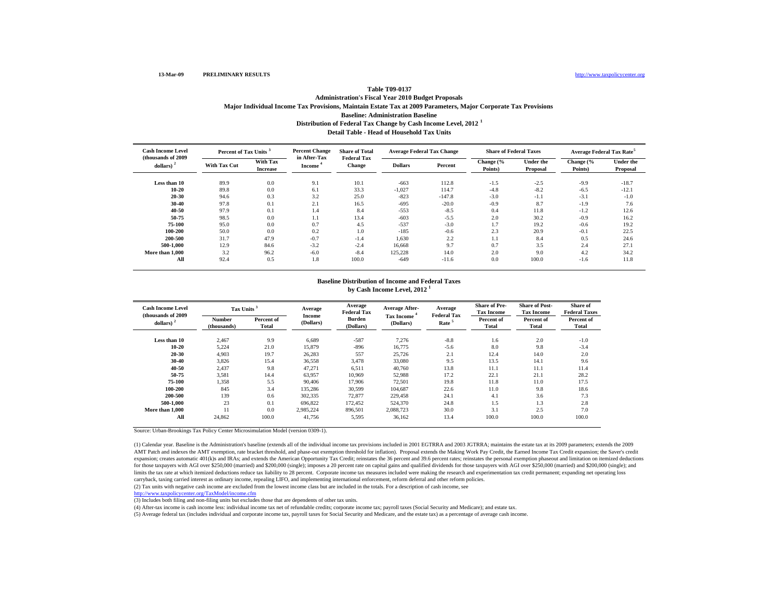**Detail Table - Head of Household Tax UnitsBaseline: Administration BaselineDistribution of Federal Tax Change by Cash Income Level, 2012 <sup>1</sup> Administration's Fiscal Year 2010 Budget Proposals Major Individual Income Tax Provisions, Maintain Estate Tax at 2009 Parameters, Major Corporate Tax Provisions**

| <b>Cash Income Level</b>            | Percent of Tax Units <sup>3</sup> |                                    | <b>Percent Change</b>         | <b>Share of Total</b>               |                | <b>Average Federal Tax Change</b> |                       | <b>Share of Federal Taxes</b> | <b>Average Federal Tax Rate<sup>5</sup></b> |                              |
|-------------------------------------|-----------------------------------|------------------------------------|-------------------------------|-------------------------------------|----------------|-----------------------------------|-----------------------|-------------------------------|---------------------------------------------|------------------------------|
| (thousands of 2009)<br>dollars) $2$ | <b>With Tax Cut</b>               | <b>With Tax</b><br><b>Increase</b> | in After-Tax<br><b>Income</b> | <b>Federal Tax</b><br><b>Change</b> | <b>Dollars</b> | Percent                           | Change (%<br>Points)  | <b>Under the</b><br>Proposal  | Change (%<br>Points)                        | <b>Under the</b><br>Proposal |
| Less than 10                        | 89.9                              | 0.0                                | 9.1                           | 10.1                                | $-663$         | 112.8                             | $-1.5$                | $-2.5$                        | $-9.9$                                      | $-18.7$                      |
| 10-20                               | 89.8                              | 0.0                                | 6.1                           | 33.3                                | $-1,027$       | 114.7                             | $-4.8$                | $-8.2$                        | $-6.5$                                      | $-12.1$                      |
| 20-30                               | 94.6                              | 0.3                                | 3.2                           | 25.0                                | $-823$         | $-147.8$                          | $-3.0$                | $-1.1$                        | $-3.1$                                      | $-1.0$                       |
| 30-40                               | 97.8                              | 0.1                                | 2.1                           | 16.5                                | $-695$         | $-20.0$                           | $-0.9$                | 8.7                           | $-1.9$                                      | 7.6                          |
| 40-50                               | 97.9                              | 0.1                                | 1.4                           | 8.4                                 | $-553$         | $-8.5$                            | 0.4                   | 11.8                          | $-1.2$                                      | 12.6                         |
| 50-75                               | 98.5                              | 0.0                                | 1.1                           | 13.4                                | $-603$         | $-5.5$                            | 2.0                   | 30.2                          | $-0.9$                                      | 16.2                         |
| 75-100                              | 95.0                              | 0.0                                | 0.7                           | 4.5                                 | $-537$         | $-3.0$                            | 1 <sub>7</sub><br>1.1 | 19.2                          | $-0.6$                                      | 19.2                         |
| 100-200                             | 50.0                              | 0.0                                | 0.2                           | 1.0                                 | $-185$         | $-0.6$                            | 2.3                   | 20.9                          | $-0.1$                                      | 22.5                         |
| 200-500                             | 31.7                              | 47.9                               | $-0.7$                        | $-1.4$                              | 1,630          | 2.2                               | 1.1                   | 8.4                           | 0.5                                         | 24.6                         |
| 500-1.000                           | 12.9                              | 84.6                               | $-3.2$                        | $-2.4$                              | 16.668         | 9.7                               | 0.7                   | 3.5                           | 2.4                                         | 27.1                         |
| More than 1.000                     | 3.2                               | 96.2                               | $-6.0$                        | $-8.4$                              | 125.228        | 14.0                              | 2.0                   | 9.0                           | 4.2                                         | 34.2                         |
| All                                 | 92.4                              | 0.5                                | 1.8                           | 100.0                               | $-649$         | $-11.6$                           | 0.0                   | 100.0                         | $-1.6$                                      | 11.8                         |

#### **by Cash Income Level, 2012 <sup>1</sup> Baseline Distribution of Income and Federal Taxes**

| <b>Cash Income Level</b><br>(thousands of 2009) | Tax Units             |                     | Average             | Average<br><b>Federal Tax</b> | <b>Average After-</b>                | Average<br><b>Federal Tax</b> | <b>Share of Pre-</b><br><b>Tax Income</b> | <b>Share of Post-</b><br><b>Tax Income</b> | <b>Share of</b><br><b>Federal Taxes</b> |
|-------------------------------------------------|-----------------------|---------------------|---------------------|-------------------------------|--------------------------------------|-------------------------------|-------------------------------------------|--------------------------------------------|-----------------------------------------|
| dollars) $2$                                    | Number<br>(thousands) | Percent of<br>Total | Income<br>(Dollars) | Burden<br>(Dollars)           | Tax Income <sup>4</sup><br>(Dollars) | Rate <sup>5</sup>             | Percent of<br>Total                       | Percent of<br>Total                        | Percent of<br>Total                     |
| Less than 10                                    | 2.467                 | 9.9                 | 6.689               | $-587$                        | 7.276                                | $-8.8$                        | 1.6                                       | 2.0                                        | $-1.0$                                  |
| $10 - 20$                                       | 5,224                 | 21.0                | 15,879              | $-896$                        | 16,775                               | $-5.6$                        | 8.0                                       | 9.8                                        | $-3.4$                                  |
| 20-30                                           | 4,903                 | 19.7                | 26,283              | 557                           | 25,726                               | 2.1                           | 12.4                                      | 14.0                                       | 2.0                                     |
| 30-40                                           | 3,826                 | 15.4                | 36,558              | 3,478                         | 33,080                               | 9.5                           | 13.5                                      | 14.1                                       | 9.6                                     |
| $40 - 50$                                       | 2,437                 | 9.8                 | 47,271              | 6,511                         | 40,760                               | 13.8                          | 11.1                                      | 11.1                                       | 11.4                                    |
| 50-75                                           | 3,581                 | 14.4                | 63,957              | 10,969                        | 52,988                               | 17.2                          | 22.1                                      | 21.1                                       | 28.2                                    |
| 75-100                                          | 1,358                 | 5.5                 | 90,406              | 17,906                        | 72,501                               | 19.8                          | 11.8                                      | 11.0                                       | 17.5                                    |
| 100-200                                         | 845                   | 3.4                 | 135,286             | 30,599                        | 104.687                              | 22.6                          | 11.0                                      | 9.8                                        | 18.6                                    |
| 200-500                                         | 139                   | 0.6                 | 302,335             | 72,877                        | 229.458                              | 24.1                          | 4.1                                       | 3.6                                        | 7.3                                     |
| 500-1.000                                       | 23                    | 0.1                 | 696.822             | 172.452                       | 524,370                              | 24.8                          | 1.5                                       | 1.3                                        | 2.8                                     |
| More than 1,000                                 | 11                    | 0.0                 | 2,985,224           | 896,501                       | 2,088,723                            | 30.0                          | 3.1                                       | 2.5                                        | 7.0                                     |
| All                                             | 24,862                | 100.0               | 41,756              | 5,595                         | 36,162                               | 13.4                          | 100.0                                     | 100.0                                      | 100.0                                   |

Source: Urban-Brookings Tax Policy Center Microsimulation Model (version 0309-1).

(1) Calendar year. Baseline is the Administration's baseline (extends all of the individual income tax provisions included in 2001 EGTRRA and 2003 JGTRRA; maintains the estate tax at its 2009 parameters; extends the 2009 AMT Patch and indexes the AMT exemption, rate bracket threshold, and phase-out exemption threshold for inflation). Proposal extends the Making Work Pay Credit, the Earned Income Tax Credit expansion; the Saver's credit expansion; creates automatic 401(k)s and IRAs; and extends the American Opportunity Tax Credit; reinstates the 36 percent and 39.6 percent rates; reinstates the personal exemption phaseout and limitation on itemized deduct for those taxpayers with AGI over \$250,000 (married) and \$200,000 (single); imposes a 20 percent rate on capital gains and qualified dividends for those taxpayers with AGI over \$250,000 (married) and \$200,000 (single); and limits the tax rate at which itemized deductions reduce tax liability to 28 percent. Corporate income tax measures included were making the research and experimentation tax credit permanent; expanding net operating loss carryback, taxing carried interest as ordinary income, repealing LIFO, and implementing international enforcement, reform deferral and other reform policies.

(2) Tax units with negative cash income are excluded from the lowest income class but are included in the totals. For a description of cash income, see

http://www.taxpolicycenter.org/TaxModel/income.cfm

(3) Includes both filing and non-filing units but excludes those that are dependents of other tax units.

(4) After-tax income is cash income less: individual income tax net of refundable credits; corporate income tax; payroll taxes (Social Security and Medicare); and estate tax.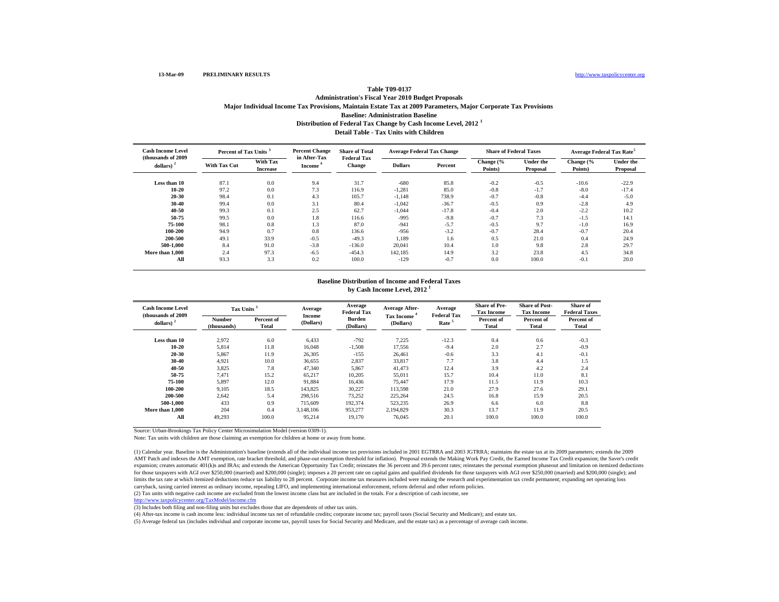**Detail Table - Tax Units with ChildrenBaseline: Administration BaselineDistribution of Federal Tax Change by Cash Income Level, 2012 <sup>1</sup> Administration's Fiscal Year 2010 Budget Proposals Major Individual Income Tax Provisions, Maintain Estate Tax at 2009 Parameters, Major Corporate Tax Provisions**

| <b>Cash Income Level</b><br>(thousands of 2009) |                     | <b>Percent Change</b><br>Percent of Tax Units <sup>3</sup> |                                     | <b>Share of Total</b><br><b>Federal Tax</b> |                | <b>Average Federal Tax Change</b> | <b>Share of Federal Taxes</b> |                              | Average Federal Tax Rate <sup>5</sup> |                              |
|-------------------------------------------------|---------------------|------------------------------------------------------------|-------------------------------------|---------------------------------------------|----------------|-----------------------------------|-------------------------------|------------------------------|---------------------------------------|------------------------------|
| dollars) $2$                                    | <b>With Tax Cut</b> | With Tax<br><b>Increase</b>                                | in After-Tax<br>Income <sup>*</sup> | <b>Change</b>                               | <b>Dollars</b> | Percent                           | Change (%<br>Points)          | <b>Under the</b><br>Proposal | Change (%<br>Points)                  | <b>Under the</b><br>Proposal |
| Less than 10                                    | 87.1                | 0.0                                                        | 9.4                                 | 31.7                                        | $-680$         | 85.8                              | $-0.2$                        | $-0.5$                       | $-10.6$                               | $-22.9$                      |
| 10-20                                           | 97.2                | 0.0                                                        | 7.3                                 | 116.9                                       | $-1,281$       | 85.0                              | $-0.8$                        | $-1.7$                       | $-8.0$                                | $-17.4$                      |
| 20-30                                           | 98.4                | 0.1                                                        | 4.3                                 | 105.7                                       | $-1,148$       | 738.9                             | $-0.7$                        | $-0.8$                       | $-4.4$                                | $-5.0$                       |
| 30-40                                           | 99.4                | 0.0                                                        | 3.1                                 | 80.4                                        | $-1,042$       | $-36.7$                           | $-0.5$                        | 0.9                          | $-2.8$                                | 4.9                          |
| 40-50                                           | 99.3                | 0.1                                                        | 2.5                                 | 62.7                                        | $-1,044$       | $-17.8$                           | $-0.4$                        | 2.0                          | $-2.2$                                | 10.2                         |
| 50-75                                           | 99.5                | 0.0                                                        | 1.8                                 | 116.6                                       | $-995$         | $-9.8$                            | $-0.7$                        | 7.3                          | $-1.5$                                | 14.1                         |
| 75-100                                          | 98.1                | 0.8                                                        | 1.3                                 | 87.0                                        | $-941$         | $-5.7$                            | $-0.5$                        | 9.7                          | $-1.0$                                | 16.9                         |
| 100-200                                         | 94.9                | 0.7                                                        | 0.8                                 | 136.6                                       | $-956$         | $-3.2$                            | $-0.7$                        | 28.4                         | $-0.7$                                | 20.4                         |
| 200-500                                         | 49.1                | 33.9                                                       | $-0.5$                              | $-49.3$                                     | 1,189          | 1.6                               | 0.5                           | 21.0                         | 0.4                                   | 24.9                         |
| 500-1.000                                       | 8.4                 | 91.0                                                       | $-3.8$                              | $-136.0$                                    | 20,041         | 10.4                              | 1.0                           | 9.8                          | 2.8                                   | 29.7                         |
| More than 1.000                                 | 2.4                 | 97.3                                                       | $-6.5$                              | $-454.3$                                    | 142,185        | 14.9                              | 3.2                           | 23.8                         | 4.5                                   | 34.8                         |
| All                                             | 93.3                | 3.3                                                        | 0.2                                 | 100.0                                       | $-129$         | $-0.7$                            | 0.0                           | 100.0                        | $-0.1$                                | 20.0                         |

#### **by Cash Income Level, 2012 <sup>1</sup> Baseline Distribution of Income and Federal Taxes**

| <b>Cash Income Level</b><br>(thousands of 2009) | Tax Units <sup>3</sup> |                     | Average<br>Income | Average<br><b>Federal Tax</b> | <b>Average After-</b><br>Tax Income <sup>4</sup> | Average<br><b>Federal Tax</b> | <b>Share of Pre-</b><br><b>Tax Income</b> | <b>Share of Post-</b><br><b>Tax Income</b> | <b>Share of</b><br><b>Federal Taxes</b> |
|-------------------------------------------------|------------------------|---------------------|-------------------|-------------------------------|--------------------------------------------------|-------------------------------|-------------------------------------------|--------------------------------------------|-----------------------------------------|
| dollars) $2$                                    | Number<br>(thousands)  | Percent of<br>Total | (Dollars)         | Burden<br>(Dollars)           | (Dollars)                                        | Rate <sup>5</sup>             | Percent of<br><b>Total</b>                | Percent of<br><b>Total</b>                 | Percent of<br>Total                     |
| Less than 10                                    | 2.972                  | 6.0                 | 6.433             | $-792$                        | 7.225                                            | $-12.3$                       | 0.4                                       | 0.6                                        | $-0.3$                                  |
| $10 - 20$                                       | 5,814                  | 11.8                | 16,048            | $-1,508$                      | 17,556                                           | $-9.4$                        | 2.0                                       | 2.7                                        | $-0.9$                                  |
| $20 - 30$                                       | 5,867                  | 11.9                | 26,305            | $-155$                        | 26,461                                           | $-0.6$                        | 3.3                                       | 4.1                                        | $-0.1$                                  |
| 30-40                                           | 4,921                  | 10.0                | 36,655            | 2,837                         | 33,817                                           | 7.7                           | 3.8                                       | 4.4                                        | 1.5                                     |
| $40 - 50$                                       | 3,825                  | 7.8                 | 47,340            | 5,867                         | 41,473                                           | 12.4                          | 3.9                                       | 4.2                                        | 2.4                                     |
| 50-75                                           | 7.471                  | 15.2                | 65,217            | 10,205                        | 55,011                                           | 15.7                          | 10.4                                      | 11.0                                       | 8.1                                     |
| 75-100                                          | 5,897                  | 12.0                | 91,884            | 16.436                        | 75,447                                           | 17.9                          | 11.5                                      | 11.9                                       | 10.3                                    |
| 100-200                                         | 9.105                  | 18.5                | 143,825           | 30.227                        | 113,598                                          | 21.0                          | 27.9                                      | 27.6                                       | 29.1                                    |
| 200-500                                         | 2.642                  | 5.4                 | 298,516           | 73.252                        | 225,264                                          | 24.5                          | 16.8                                      | 15.9                                       | 20.5                                    |
| 500-1.000                                       | 433                    | 0.9                 | 715,609           | 192,374                       | 523,235                                          | 26.9                          | 6.6                                       | 6.0                                        | 8.8                                     |
| More than 1,000                                 | 204                    | 0.4                 | 3,148,106         | 953,277                       | 2.194.829                                        | 30.3                          | 13.7                                      | 11.9                                       | 20.5                                    |
| All                                             | 49.293                 | 100.0               | 95,214            | 19.170                        | 76.045                                           | 20.1                          | 100.0                                     | 100.0                                      | 100.0                                   |

Source: Urban-Brookings Tax Policy Center Microsimulation Model (version 0309-1).

Note: Tax units with children are those claiming an exemption for children at home or away from home.

(1) Calendar year. Baseline is the Administration's baseline (extends all of the individual income tax provisions included in 2001 EGTRRA and 2003 JGTRRA; maintains the estate tax at its 2009 parameters; extends the 2009 AMT Patch and indexes the AMT exemption, rate bracket threshold, and phase-out exemption threshold for inflation). Proposal extends the Making Work Pay Credit, the Earned Income Tax Credit expansion; the Saver's credit expansion; creates automatic 401(k)s and IRAs; and extends the American Opportunity Tax Credit; reinstates the 36 percent and 39.6 percent rates; reinstates the personal exemption phaseout and limitation on itemized deduct for those taxpayers with AGI over \$250,000 (married) and \$200,000 (single); imposes a 20 percent rate on capital gains and qualified dividends for those taxpayers with AGI over \$250,000 (married) and \$200,000 (single); and limits the tax rate at which itemized deductions reduce tax liability to 28 percent. Corporate income tax measures included were making the research and experimentation tax credit permanent; expanding net operating loss carryback, taxing carried interest as ordinary income, repealing LIFO, and implementing international enforcement, reform deferral and other reform policies.

(2) Tax units with negative cash income are excluded from the lowest income class but are included in the totals. For a description of cash income, see

http://www.taxpolicycenter.org/TaxModel/income.cfm

(3) Includes both filing and non-filing units but excludes those that are dependents of other tax units.

(4) After-tax income is cash income less: individual income tax net of refundable credits; corporate income tax; payroll taxes (Social Security and Medicare); and estate tax.